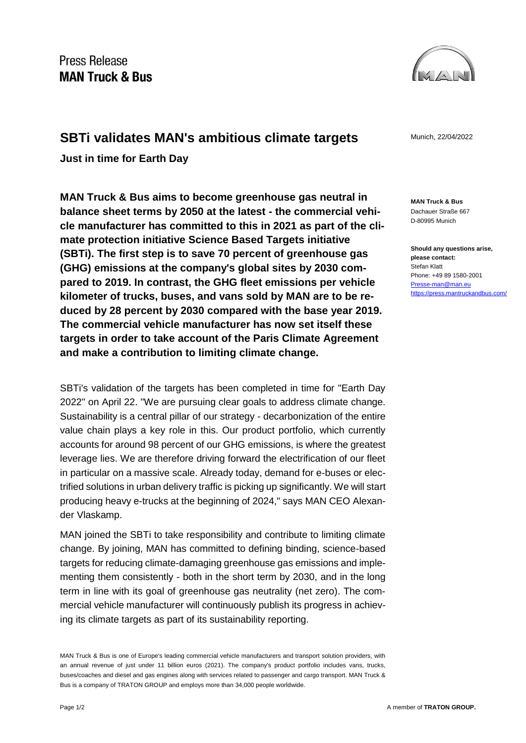

## **SBTi validates MAN's ambitious climate targets** Munich, 22/04/2022

**Just in time for Earth Day**

**MAN Truck & Bus aims to become greenhouse gas neutral in balance sheet terms by 2050 at the latest - the commercial vehicle manufacturer has committed to this in 2021 as part of the climate protection initiative Science Based Targets initiative (SBTi). The first step is to save 70 percent of greenhouse gas (GHG) emissions at the company's global sites by 2030 compared to 2019. In contrast, the GHG fleet emissions per vehicle kilometer of trucks, buses, and vans sold by MAN are to be reduced by 28 percent by 2030 compared with the base year 2019. The commercial vehicle manufacturer has now set itself these targets in order to take account of the Paris Climate Agreement and make a contribution to limiting climate change.**

SBTi's validation of the targets has been completed in time for "Earth Day 2022" on April 22. "We are pursuing clear goals to address climate change. Sustainability is a central pillar of our strategy - decarbonization of the entire value chain plays a key role in this. Our product portfolio, which currently accounts for around 98 percent of our GHG emissions, is where the greatest leverage lies. We are therefore driving forward the electrification of our fleet in particular on a massive scale. Already today, demand for e-buses or electrified solutions in urban delivery traffic is picking up significantly. We will start producing heavy e-trucks at the beginning of 2024," says MAN CEO Alexander Vlaskamp.

MAN joined the SBTi to take responsibility and contribute to limiting climate change. By joining, MAN has committed to defining binding, science-based targets for reducing climate-damaging greenhouse gas emissions and implementing them consistently - both in the short term by 2030, and in the long term in line with its goal of greenhouse gas neutrality (net zero). The commercial vehicle manufacturer will continuously publish its progress in achieving its climate targets as part of its sustainability reporting.

MAN Truck & Bus is one of Europe's leading commercial vehicle manufacturers and transport solution providers, with an annual revenue of just under 11 billion euros (2021). The company's product portfolio includes vans, trucks, buses/coaches and diesel and gas engines along with services related to passenger and cargo transport. MAN Truck & Bus is a company of TRATON GROUP and employs more than 34,000 people worldwide.

**MAN Truck & Bus** Dachauer Straße 667 D-80995 Munich

**Should any questions arise, please contact:** Stefan Klatt Phone: +49 89 1580-2001 [Presse-man@man.eu](mailto:Presse-man@man.eu) <https://press.mantruckandbus.com/>